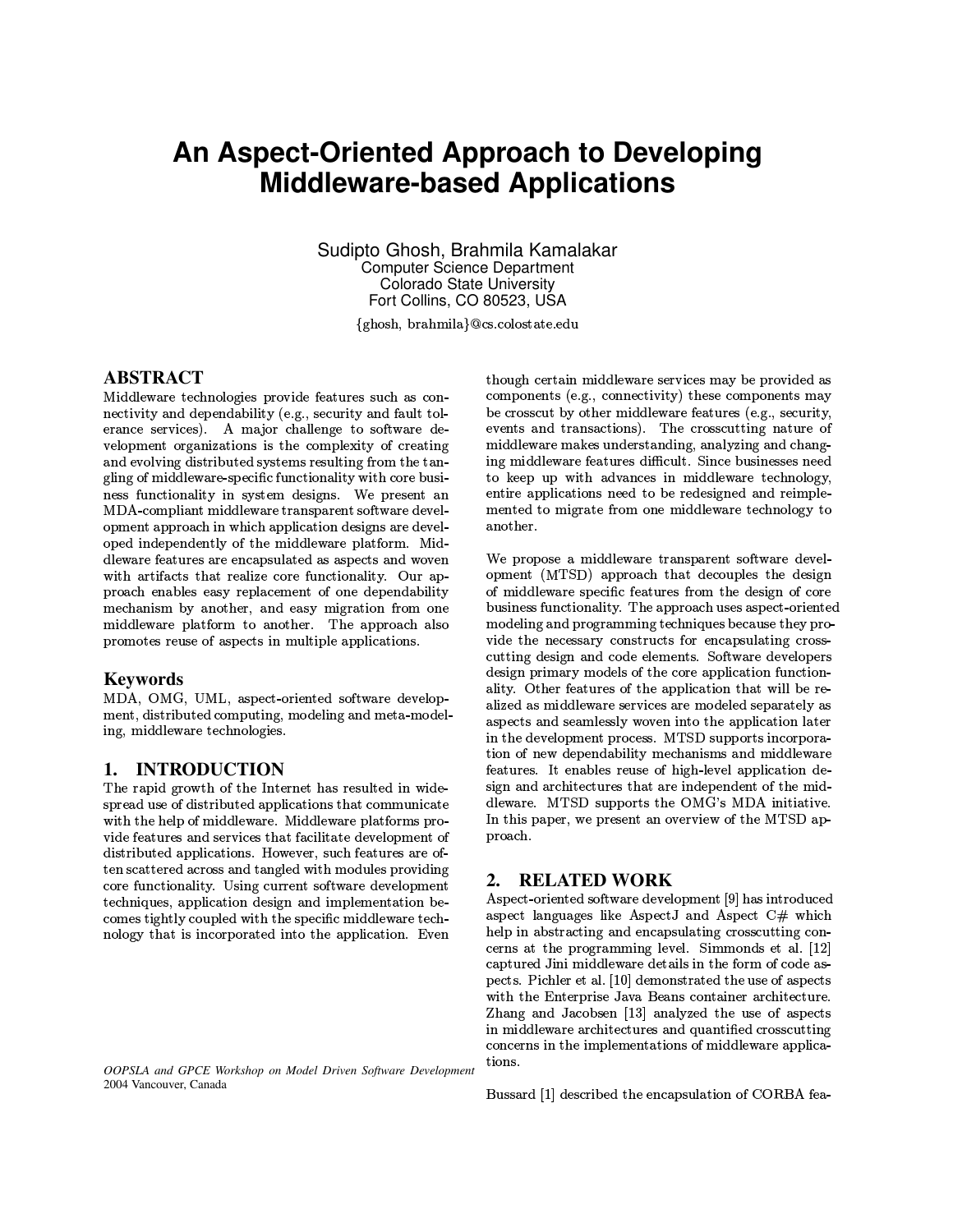# An Aspect-Oriented Approach to Developing **Middleware-based Applications**

Sudipto Ghosh, Brahmila Kamalakar **Computer Science Department Colorado State University** Fort Collins, CO 80523, USA

{ghosh, brahmila}@cs.colostate.edu

# **ABSTRACT**

Middleware technologies provide features such as connectivity and dependability (e.g., security and fault tolerance services). A major challenge to software development organizations is the complexity of creating and evolving distributed systems resulting from the tangling of middleware-specific functionality with core business functionality in system designs. We present an MDA-compliant middleware transparent software development approach in which application designs are developed independently of the middleware platform. Middleware features are encapsulated as aspects and woven with artifacts that realize core functionality. Our approach enables easy replacement of one dependability mechanism by another, and easy migration from one middleware platform to another. The approach also promotes reuse of aspects in multiple applications.

### **Keywords**

MDA, OMG, UML, aspect-oriented software development, distributed computing, modeling and meta-modeling, middleware technologies.

# 1. INTRODUCTION

The rapid growth of the Internet has resulted in widespread use of distributed applications that communicate with the help of middleware. Middleware platforms provide features and services that facilitate development of distributed applications. However, such features are often scattered across and tangled with modules providing core functionality. Using current software development techniques, application design and implementation becomes tightly coupled with the specific middleware technology that is incorporated into the application. Even

OOPSLA and GPCE Workshop on Model Driven Software Development 2004 Vancouver, Canada

though certain middleware services may be provided as components (e.g., connectivity) these components may be crosscut by other middleware features (e.g., security, events and transactions). The crosscutting nature of middleware makes understanding, analyzing and changing middleware features difficult. Since businesses need to keep up with advances in middleware technology, entire applications need to be redesigned and reimplemented to migrate from one middleware technology to another.

We propose a middleware transparent software development (MTSD) approach that decouples the design of middleware specific features from the design of core business functionality. The approach uses aspect-oriented modeling and programming techniques because they provide the necessary constructs for encapsulating crosscutting design and code elements. Software developers design primary models of the core application functionality. Other features of the application that will be realized as middleware services are modeled separately as aspects and seamlessly woven into the application later in the development process. MTSD supports incorporation of new dependability mechanisms and middleware features. It enables reuse of high-level application design and architectures that are independent of the middleware. MTSD supports the OMG's MDA initiative. In this paper, we present an overview of the MTSD approach.

# 2. RELATED WORK

Aspect-oriented software development [9] has introduced aspect languages like AspectJ and Aspect C# which help in abstracting and encapsulating crosscutting concerns at the programming level. Simmonds et al. [12] captured Jini middleware details in the form of code aspects. Pichler et al. [10] demonstrated the use of aspects with the Enterprise Java Beans container architecture. Zhang and Jacobsen [13] analyzed the use of aspects in middleware architectures and quantified crosscutting concerns in the implementations of middleware applications.

Bussard [1] described the encapsulation of CORBA fea-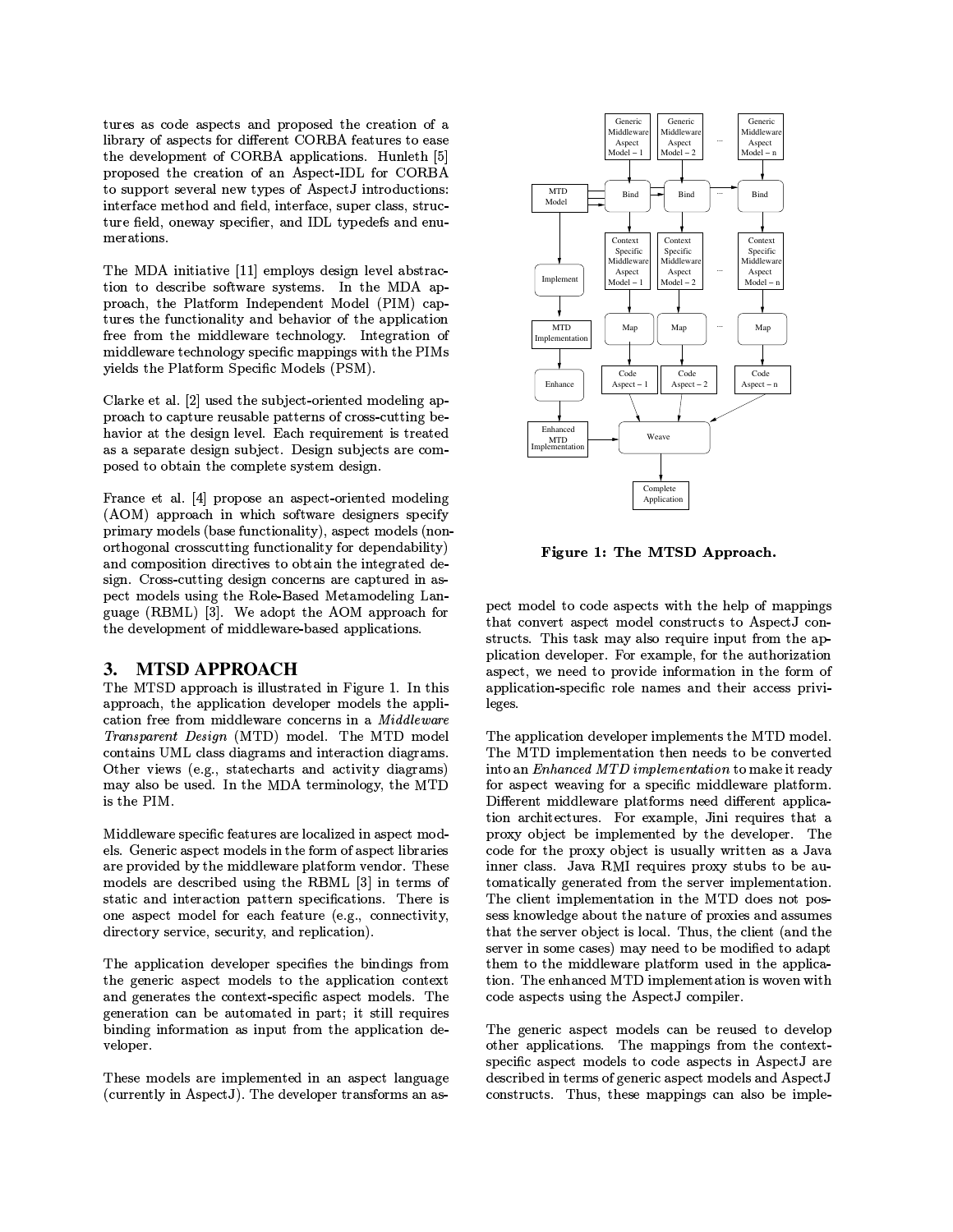tures as code aspects and proposed the creation of a library of aspects for different CORBA features to ease the development of CORBA applications. Hunleth [5] proposed the creation of an Aspect-IDL for CORBA to support several new types of AspectJ introductions: interface method and field, interface, super class, structure field, oneway specifier, and IDL typedefs and enumerations.

The MDA initiative [11] employs design level abstraction to describe software systems. In the MDA approach, the Platform Independent Model (PIM) captures the functionality and behavior of the application free from the middleware technology. Integration of middleware technology specific mappings with the PIMs yields the Platform Specific Models (PSM).

Clarke et al. [2] used the subject-oriented modeling approach to capture reusable patterns of cross-cutting behavior at the design level. Each requirement is treated as a separate design subject. Design subjects are composed to obtain the complete system design.

France et al. [4] propose an aspect-oriented modeling (AOM) approach in which software designers specify primary models (base functionality), aspect models (nonorthogonal crosscutting functionality for dependability) and composition directives to obtain the integrated design. Cross-cutting design concerns are captured in aspect models using the Role-Based Metamodeling Language (RBML) [3]. We adopt the AOM approach for the development of middleware-based applications.

#### 3. **MTSD APPROACH**

The MTSD approach is illustrated in Figure 1. In this approach, the application developer models the application free from middleware concerns in a Middleware Transparent Design (MTD) model. The MTD model contains UML class diagrams and interaction diagrams. Other views (e.g., statecharts and activity diagrams) may also be used. In the MDA terminology, the MTD is the PIM.

Middleware specific features are localized in aspect models. Generic aspect models in the form of aspect libraries are provided by the middleware platform vendor. These models are described using the RBML [3] in terms of static and interaction pattern specifications. There is one aspect model for each feature (e.g., connectivity, directory service, security, and replication).

The application developer specifies the bindings from the generic aspect models to the application context and generates the context-specific aspect models. The generation can be automated in part; it still requires binding information as input from the application developer.

These models are implemented in an aspect language (currently in AspectJ). The developer transforms an as-



Figure 1: The MTSD Approach.

pect model to code aspects with the help of mappings that convert aspect model constructs to AspectJ constructs. This task may also require input from the application developer. For example, for the authorization aspect, we need to provide information in the form of application-specific role names and their access privileges.

The application developer implements the MTD model. The MTD implementation then needs to be converted into an Enhanced MTD implementation to make it ready for aspect weaving for a specific middleware platform. Different middleware platforms need different application architectures. For example, Jini requires that a proxy object be implemented by the developer. The code for the proxy object is usually written as a Java inner class. Java RMI requires proxy stubs to be automatically generated from the server implementation. The client implementation in the MTD does not possess knowledge about the nature of proxies and assumes that the server object is local. Thus, the client (and the server in some cases) may need to be modified to adapt them to the middleware platform used in the application. The enhanced MTD implementation is woven with code aspects using the AspectJ compiler.

The generic aspect models can be reused to develop other applications. The mappings from the contextspecific aspect models to code aspects in AspectJ are described in terms of generic aspect models and AspectJ constructs. Thus, these mappings can also be imple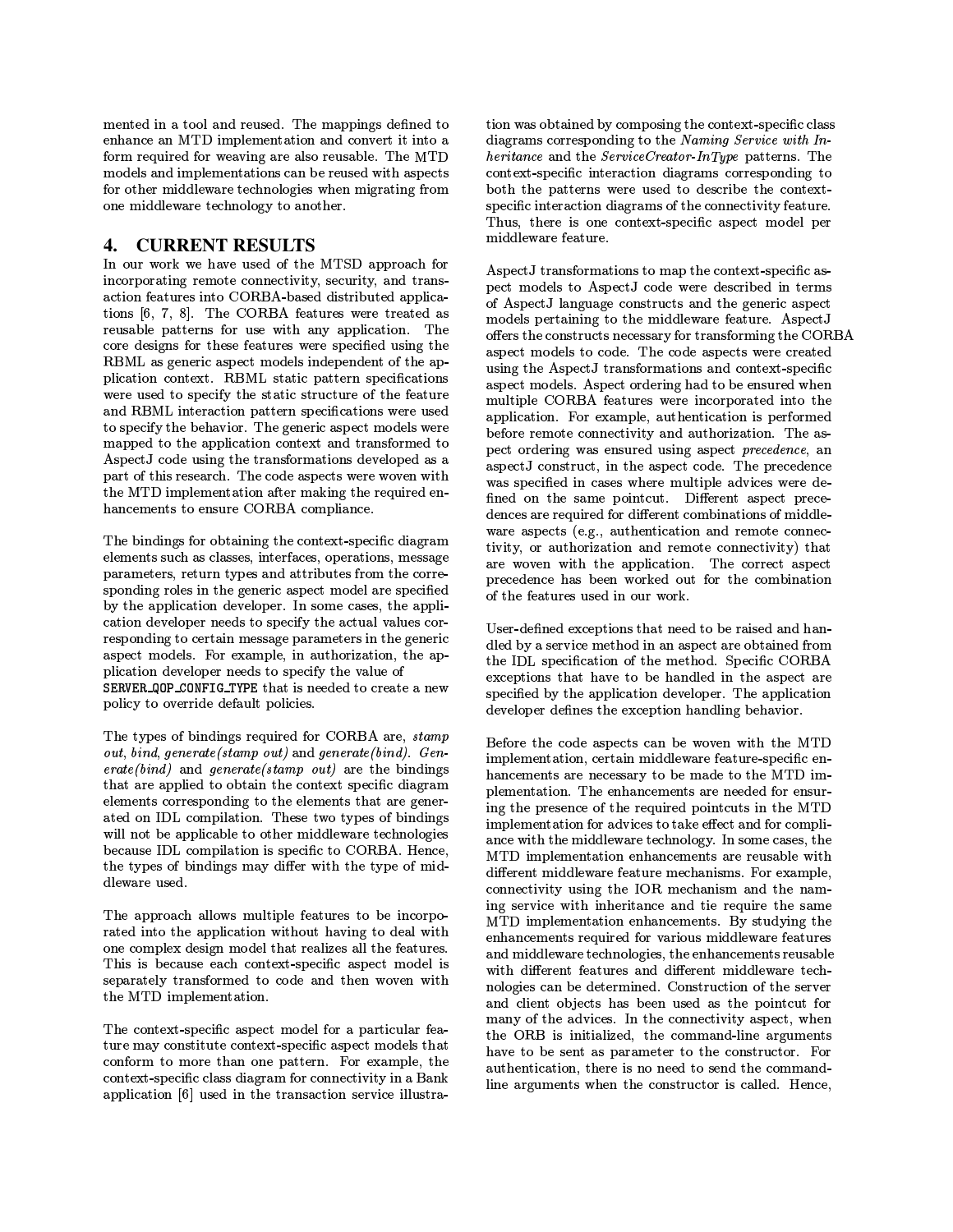mented in a tool and reused. The mappings defined to enhance an MTD implementation and convert it into a form required for weaving are also reusable. The MTD models and implementations can be reused with aspects for other middleware technologies when migrating from one middleware technology to another.

#### 4. **CURRENT RESULTS**

In our work we have used of the MTSD approach for incorporating remote connectivity, security, and transaction features into CORBA-based distributed applications [6, 7, 8]. The CORBA features were treated as reusable patterns for use with any application. The core designs for these features were specified using the RBML as generic aspect models independent of the application context. RBML static pattern specifications were used to specify the static structure of the feature and RBML interaction pattern specifications were used to specify the behavior. The generic aspect models were mapped to the application context and transformed to AspectJ code using the transformations developed as a part of this research. The code aspects were woven with the MTD implementation after making the required enhancements to ensure CORBA compliance.

The bindings for obtaining the context-specific diagram elements such as classes, interfaces, operations, message parameters, return types and attributes from the corresponding roles in the generic aspect model are specified by the application developer. In some cases, the application developer needs to specify the actual values corresponding to certain message parameters in the generic aspect models. For example, in authorization, the application developer needs to specify the value of SERVER\_QOP\_CONFIG\_TYPE that is needed to create a new policy to override default policies.

The types of bindings required for CORBA are, stamp out, bind, generate(stamp out) and generate(bind). Gen $erate(bind)$  and  $generate(stamp \ out)$  are the bindings that are applied to obtain the context specific diagram elements corresponding to the elements that are generated on IDL compilation. These two types of bindings will not be applicable to other middleware technologies because IDL compilation is specific to CORBA. Hence, the types of bindings may differ with the type of middleware used.

The approach allows multiple features to be incorporated into the application without having to deal with one complex design model that realizes all the features. This is because each context-specific aspect model is separately transformed to code and then woven with the MTD implementation.

The context-specific aspect model for a particular feature may constitute context-specific aspect models that conform to more than one pattern. For example, the context-specific class diagram for connectivity in a Bank application [6] used in the transaction service illustration was obtained by composing the context-specific class diagrams corresponding to the Naming Service with  $In$ heritance and the  $ServiceCreateInType$  patterns. The context-specific interaction diagrams corresponding to both the patterns were used to describe the contextspecific interaction diagrams of the connectivity feature. Thus, there is one context-specific aspect model per middleware feature.

AspectJ transformations to map the context-specific aspect models to AspectJ code were described in terms of AspectJ language constructs and the generic aspect models pertaining to the middleware feature. AspectJ offers the constructs necessary for transforming the CORBA aspect models to code. The code aspects were created using the AspectJ transformations and context-specific aspect models. Aspect ordering had to be ensured when multiple CORBA features were incorporated into the application. For example, authentication is performed before remote connectivity and authorization. The aspect ordering was ensured using aspect precedence, an aspectJ construct, in the aspect code. The precedence was specified in cases where multiple advices were defined on the same pointcut. Different aspect precedences are required for different combinations of middleware aspects (e.g., authentication and remote connectivity, or authorization and remote connectivity) that are woven with the application. The correct aspect precedence has been worked out for the combination of the features used in our work.

User-defined exceptions that need to be raised and handled by a service method in an aspect are obtained from the IDL specification of the method. Specific CORBA exceptions that have to be handled in the aspect are specified by the application developer. The application developer defines the exception handling behavior.

Before the code aspects can be woven with the MTD implementation, certain middleware feature-specific enhancements are necessary to be made to the MTD implementation. The enhancements are needed for ensuring the presence of the required pointcuts in the MTD implementation for advices to take effect and for compliance with the middleware technology. In some cases, the MTD implementation enhancements are reusable with different middleware feature mechanisms. For example, connectivity using the IOR mechanism and the naming service with inheritance and tie require the same MTD implementation enhancements. By studying the enhancements required for various middleware features and middleware technologies, the enhancements reusable with different features and different middleware technologies can be determined. Construction of the server and client objects has been used as the pointcut for many of the advices. In the connectivity aspect, when the ORB is initialized, the command-line arguments have to be sent as parameter to the constructor. For authentication, there is no need to send the commandline arguments when the constructor is called. Hence,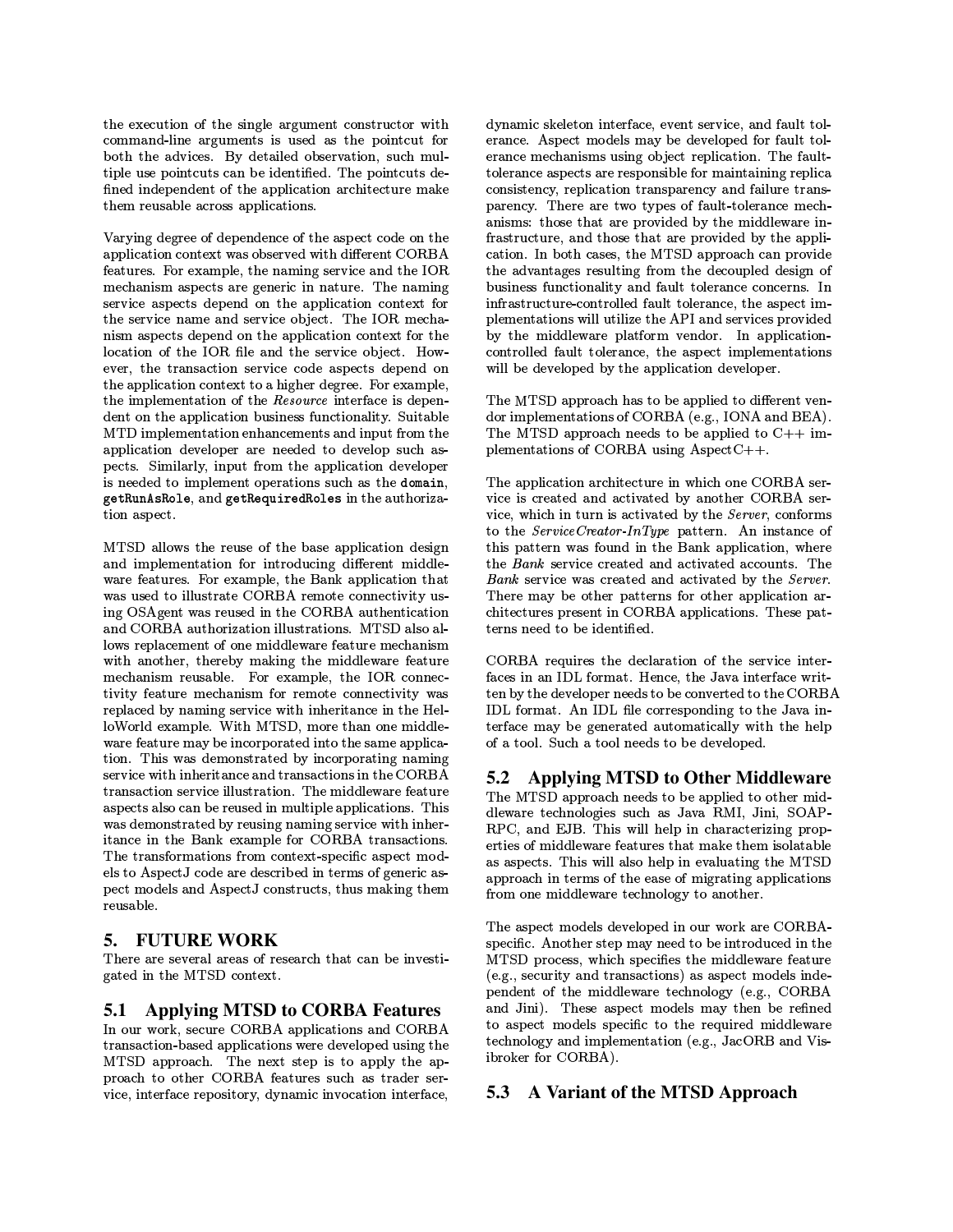the execution of the single argument constructor with command-line arguments is used as the pointcut for both the advices. By detailed observation, such multiple use pointcuts can be identified. The pointcuts defined independent of the application architecture make them reusable across applications.

Varying degree of dependence of the aspect code on the application context was observed with different CORBA features. For example, the naming service and the IOR mechanism aspects are generic in nature. The naming service aspects depend on the application context for the service name and service object. The IOR mechanism aspects depend on the application context for the location of the IOR file and the service object. However, the transaction service code aspects depend on the application context to a higher degree. For example, the implementation of the Resource interface is dependent on the application business functionality. Suitable MTD implementation enhancements and input from the application developer are needed to develop such aspects. Similarly, input from the application developer is needed to implement operations such as the domain, getRunAsRole, and getRequiredRoles in the authorization aspect.

MTSD allows the reuse of the base application design and implementation for introducing different middleware features. For example, the Bank application that was used to illustrate CORBA remote connectivity using OSAgent was reused in the CORBA authentication and CORBA authorization illustrations. MTSD also allows replacement of one middleware feature mechanism with another, thereby making the middleware feature mechanism reusable. For example, the IOR connectivity feature mechanism for remote connectivity was replaced by naming service with inheritance in the HelloWorld example. With MTSD, more than one middleware feature may be incorporated into the same application. This was demonstrated by incorporating naming service with inheritance and transactions in the CORBA transaction service illustration. The middleware feature aspects also can be reused in multiple applications. This was demonstrated by reusing naming service with inheritance in the Bank example for CORBA transactions. The transformations from context-specific aspect models to AspectJ code are described in terms of generic aspect models and AspectJ constructs, thus making them reusable.

# 5. FUTURE WORK

There are several areas of research that can be investigated in the MTSD context.

### **5.1 Applying MTSD to CORBA Features**

In our work, secure CORBA applications and CORBA transaction-based applications were developed using the MTSD approach. The next step is to apply the approach to other CORBA features such as trader service, interface repository, dynamic invocation interface, dynamic skeleton interface, event service, and fault tolerance. Aspect models may be developed for fault tolerance mechanisms using object replication. The faulttolerance aspects are responsible for maintaining replica consistency, replication transparency and failure transparency. There are two types of fault-tolerance mechanisms: those that are provided by the middleware infrastructure, and those that are provided by the application. In both cases, the MTSD approach can provide the advantages resulting from the decoupled design of business functionality and fault tolerance concerns. In infrastructure-controlled fault tolerance, the aspect implementations will utilize the API and services provided by the middleware platform vendor. In applicationcontrolled fault tolerance, the aspect implementations will be developed by the application developer.

The MTSD approach has to be applied to different vendor implementations of CORBA (e.g., IONA and BEA). The MTSD approach needs to be applied to  $C++$  implementations of CORBA using AspectC++.

The application architecture in which one CORBA service is created and activated by another CORBA service, which in turn is activated by the Server, conforms to the ServiceCreator-InType pattern. An instance of this pattern was found in the Bank application, where the Bank service created and activated accounts. The Bank service was created and activated by the Server. There may be other patterns for other application architectures present in CORBA applications. These patterns need to be identified.

CORBA requires the declaration of the service interfaces in an IDL format. Hence, the Java interface written by the developer needs to be converted to the CORBA IDL format. An IDL file corresponding to the Java interface may be generated automatically with the help of a tool. Such a tool needs to be developed.

#### **Applying MTSD to Other Middleware**  $5.2$

The MTSD approach needs to be applied to other middleware technologies such as Java RMI, Jini, SOAP-RPC, and EJB. This will help in characterizing properties of middleware features that make them isolatable as aspects. This will also help in evaluating the MTSD approach in terms of the ease of migrating applications from one middleware technology to another.

The aspect models developed in our work are CORBAspecific. Another step may need to be introduced in the MTSD process, which specifies the middleware feature (e.g., security and transactions) as aspect models independent of the middleware technology (e.g., CORBA and Jini). These aspect models may then be refined to aspect models specific to the required middleware technology and implementation (e.g., JacORB and Visibroker for CORBA).

### 5.3 A Variant of the MTSD Approach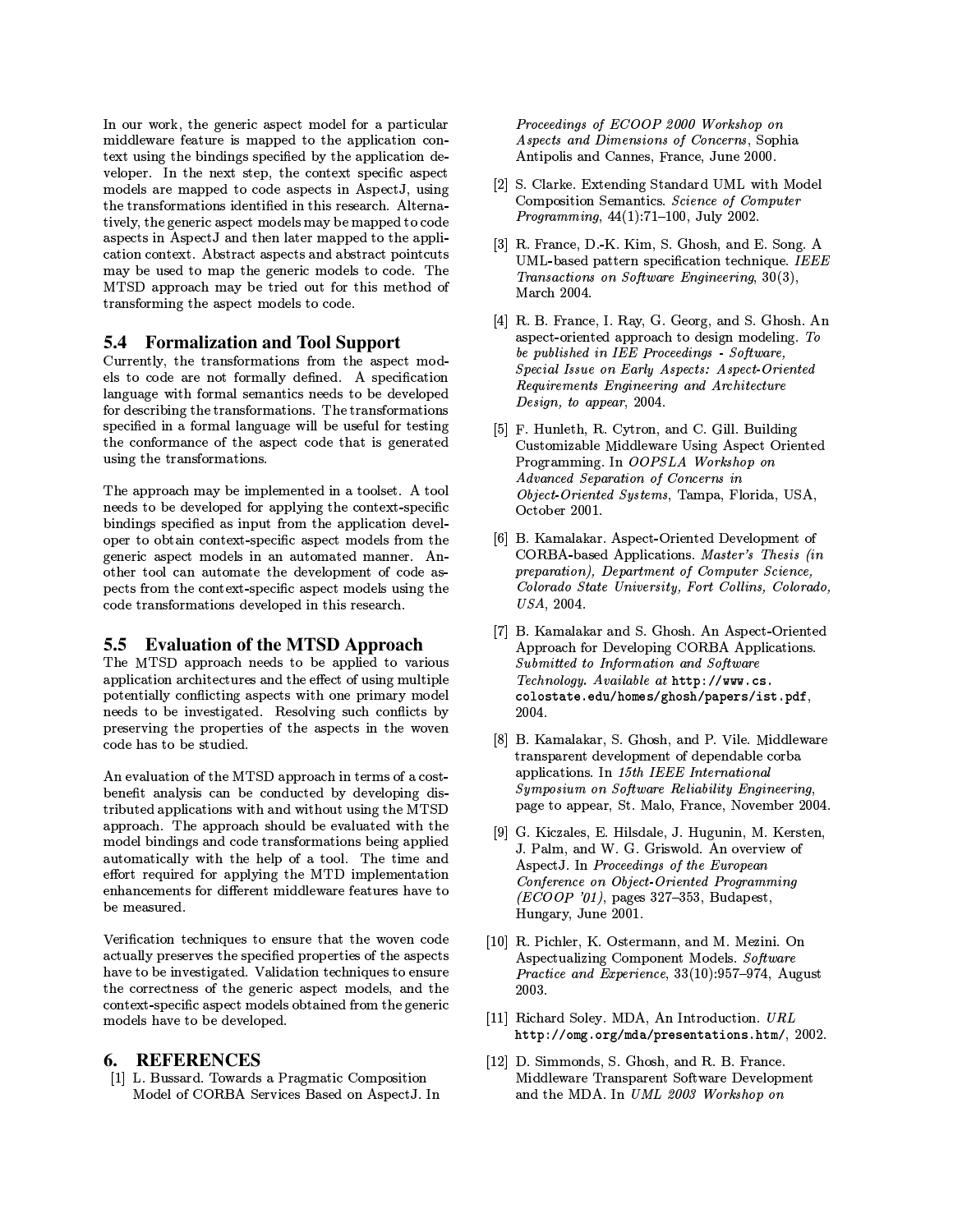In our work, the generic aspect model for a particular middleware feature is mapped to the application context using the bindings specified by the application developer. In the next step, the context specific aspect models are mapped to code aspects in AspectJ, using the transformations identified in this research. Alternatively, the generic aspect models may be mapped to code aspects in AspectJ and then later mapped to the application context. Abstract aspects and abstract pointcuts may be used to map the generic models to code. The MTSD approach may be tried out for this method of transforming the aspect models to code.

# **5.4 Formalization and Tool Support**

Currently, the transformations from the aspect models to code are not formally defined. A specification language with formal semantics needs to be developed for describing the transformations. The transformations specified in a formal language will be useful for testing the conformance of the aspect code that is generated using the transformations.

The approach may be implemented in a toolset. A tool needs to be developed for applying the context-specific bindings specified as input from the application developer to obtain context-specific aspect models from the generic aspect models in an automated manner. Another tool can automate the development of code aspects from the context-specific aspect models using the code transformations developed in this research.

### 5.5 Evaluation of the MTSD Approach

The MTSD approach needs to be applied to various application architectures and the effect of using multiple potentially conflicting aspects with one primary model needs to be investigated. Resolving such conflicts by preserving the properties of the aspects in the woven code has to be studied.

An evaluation of the MTSD approach in terms of a costbenefit analysis can be conducted by developing distributed applications with and without using the MTSD approach. The approach should be evaluated with the model bindings and code transformations being applied automatically with the help of a tool. The time and effort required for applying the MTD implementation enhancements for different middleware features have to be measured.

Verification techniques to ensure that the woven code actually preserves the specified properties of the aspects have to be investigated. Validation techniques to ensure the correctness of the generic aspect models, and the context-specific aspect models obtained from the generic models have to be developed.

#### 6. REFERENCES

[1] L. Bussard. Towards a Pragmatic Composition Model of CORBA Services Based on AspectJ. In Proceedings of ECOOP 2000 Workshop on *Aspects and Dimensions of Concerns.* Sophia Antipolis and Cannes, France, June 2000.

- [2] S. Clarke. Extending Standard UML with Model Composition Semantics. Science of Computer *Programming*,  $44(1):71-100$ , July 2002.
- [3] R. France, D.-K. Kim, S. Ghosh, and E. Song. A UML-based pattern specification technique. IEEE Transactions on Software Engineering, 30(3), March 2004.
- [4] R. B. France, I. Ray, G. Georg, and S. Ghosh. An aspect-oriented approach to design modeling. To be published in IEE Proceedings - Software, Special Issue on Early Aspects: Aspect-Oriented Requirements Engineering and Architecture Design, to appear, 2004.
- [5] F. Hunleth, R. Cytron, and C. Gill. Building Customizable Middleware Using Aspect Oriented Programming. In OOPSLA Workshop on Advanced Separation of Concerns in Object-Oriented Systems, Tampa, Florida, USA, October 2001.
- [6] B. Kamalakar. Aspect-Oriented Development of CORBA-based Applications. Master's Thesis (in preparation), Department of Computer Science, Colorado State University, Fort Collins, Colorado, USA, 2004.
- [7] B. Kamalakar and S. Ghosh. An Aspect-Oriented Approach for Developing CORBA Applications. Submitted to Information and Software Technology. Available at http://www.cs. colostate.edu/homes/ghosh/papers/ist.pdf, 2004.
- [8] B. Kamalakar, S. Ghosh, and P. Vile. Middleware transparent development of dependable corba applications. In 15th IEEE International Symposium on Software Reliability Engineering, page to appear, St. Malo, France, November 2004.
- [9] G. Kiczales, E. Hilsdale, J. Hugunin, M. Kersten, J. Palm, and W. G. Griswold. An overview of AspectJ. In Proceedings of the European Conference on Object Oriented Programming (ECOOP '01), pages 327-353, Budapest, Hungary, June 2001.
- [10] R. Pichler, K. Ostermann, and M. Mezini. On Aspectualizing Component Models. Software Practice and Experience, 33(10):957-974, August 2003.
- [11] Richard Soley. MDA, An Introduction. URL http://omg.org/mda/presentations.htm/, 2002.
- [12] D. Simmonds, S. Ghosh, and R. B. France. Middleware Transparent Software Development and the MDA. In UML 2003 Workshop on